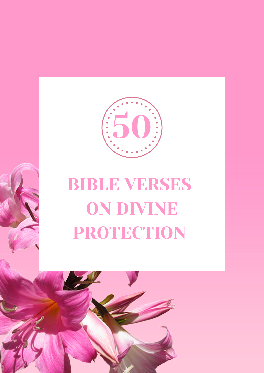

## BIBLE VERSES ON DIVINE PROTECTION

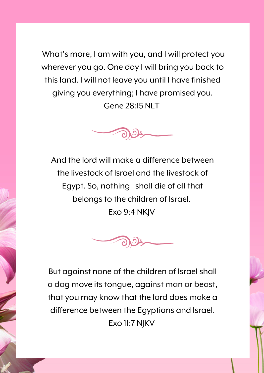What's more, I am with you, and I will protect you wherever you go. One day I will bring you back to thisland. I will not leave you until I have finished giving you everything; I have promised you. Gene 28:15 NLT



And the lord will make a difference between the livestock of Israel and the livestock of Egypt. So, nothing shall die of all that belongs to the children of Israel. Exo 9:4 NKJV



But against none of the children of Israel shall a dog move its tongue, against man or beast, that you may know that the lord does make a difference between the Egyptians and Israel. Exo 11:7 NJKV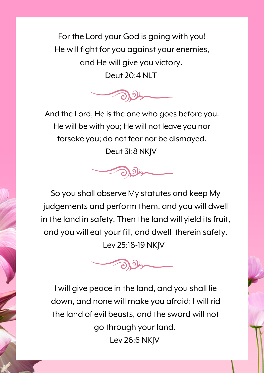For the Lord your God is going with you! He will fight for you against your enemies, and He will give you victory. Deut 20:4 NLT



And the Lord, He is the one who goes before you. He will be with you; He will not leave you nor forsake you; do not fear nor be dismayed. Deut 31:8 NKJV



So you shall observe My statutes and keep My judgements and perform them, and you will dwell in the land in safety. Then the land will yield itsfruit, and you will eat your fill, and dwell therein safety. Lev 25:18-19 NKJV



I will give peace in the land, and you shall lie down, and none will make you afraid; I will rid the land of evil beasts, and the sword will not go through your land. Lev 26:6 NKJV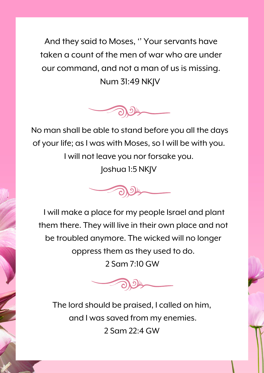And they said to Moses, "Your servants have taken a count of the men of war who are under our command, and not a man of us is missing. Num 31:49 NKJV



No man shall be able to stand before you all the days of your life; as I was with Moses, so I will be with you. I will not leave you nor forsake you. Joshua 1:5 NKJV



I will make a place for my people Israel and plant them there. They will live in their own place and not be troubled anymore. The wicked will no longer oppressthem asthey used to do. 2 Sam 7:10 GW



The lord should be praised, I called on him, and I was saved from my enemies. 2 Sam 22:4 GW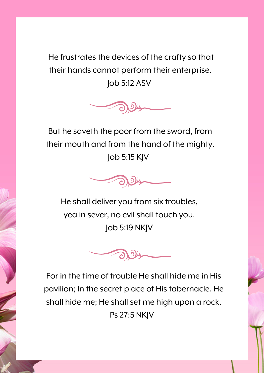He frustrates the devices of the crafty so that their hands cannot perform their enterprise. Job 5:12 ASV



But he saveth the poor from the sword, from their mouth and from the hand of the mighty. Job 5:15 KJV



He shall deliver you from six troubles, yea in sever, no evil shall touch you. Job 5:19 NKJV



For in the time of trouble He shall hide me in His pavilion; In the secret place of His tabernacle. He shall hide me; He shall set me high upon a rock. Ps 27:5 NKJV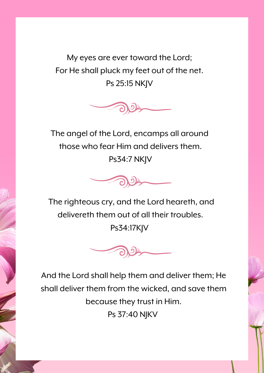My eyes are ever toward the Lord; For He shall pluck my feet out of the net. Ps 25:15 NKJV



The angel of the Lord, encamps all around those who fear Him and delivers them. Ps34:7 NKJV



The righteous cry, and the Lord heareth, and delivereth them out of all their troubles. Ps34:17KJV



And the Lord shall help them and deliver them; He shall deliver them from the wicked, and save them because they trust in Him. Ps 37:40 NJKV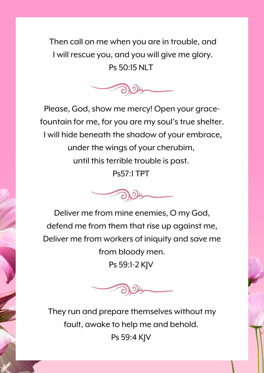Then call on me when you are in trouble, and I will rescue you, and you will give me glory. Ps 50:15 NLT



Please, God, show me mercy! Open your gracefountain for me, for you are my soul's true shelter. I will hide beneath the shadow of your embrace, under the wings of your cherubim, until this terrible trouble is past. Ps57:1 TPT



Deliver me from mine enemies, O my God, defend me from them that rise up against me, Deliver me from workers of iniquity and save me from bloody men. Ps 59:1-2 KJV



They run and prepare themselves without my fault, awake to help me and behold. Ps 59:4 KJV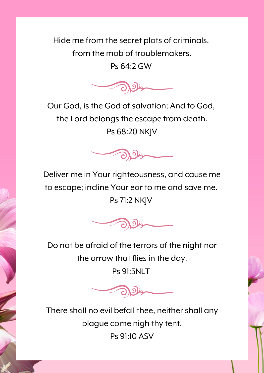Hide me from the secret plots of criminals, from the mob of troublemakers.

Ps 64:2 GW



Our God, is the God of salvation; And to God, the Lord belongs the escape from death. Ps 68:20 NKJV



Deliver me in Your righteousness, and cause me to escape; incline Your ear to me and save me. Ps 71:2 NKJV



Do not be afraid of the terrors of the night nor the arrow that flies in the day.

Ps 91:5NLT



There shall no evil befall thee, neither shall any plague come nigh thy tent. Ps 91:10 ASV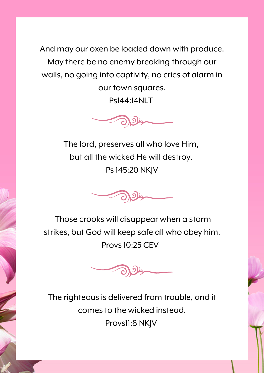And may our oxen be loaded down with produce. May there be no enemy breaking through our walls, no going into captivity, no cries of alarm in our town squares.

Ps144:14NLT



The lord, preserves all who love Him, but all the wicked He will destroy. Ps145:20 NKJV



Those crooks will disappear when a storm strikes, but God will keep safe all who obey him. Provs10:25 CEV



The righteous is delivered from trouble, and it comes to the wicked instead. Provs11:8 NKJV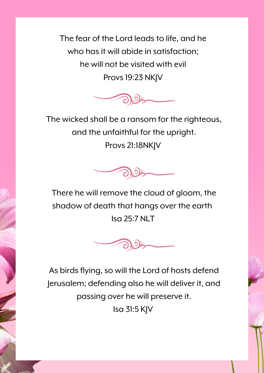The fear of the Lord leads to life, and he who has it will abide in satisfaction; he will not be visited with evil Provs19:23 NKJV



The wicked shall be a ransom for the righteous, and the unfaithful for the upright. Provs 21:18NKJV



There he will remove the cloud of gloom, the shadow of death that hangs over the earth Isa 25:7 NLT



As birds flying, so will the Lord of hosts defend Jerusalem; defending also he will deliver it, and passing over he will preserve it. Isa 31:5 KJV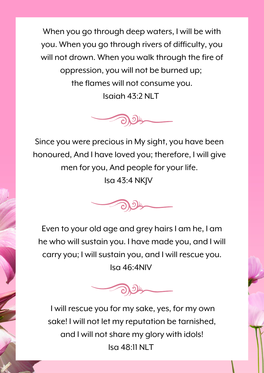When you go through deep waters, I will be with you. When you go through rivers of difficulty, you will not drown. When you walk through the fire of oppression, you will not be burned up; the flames will not consume you. Isaiah 43:2 NLT



Since you were precious in My sight, you have been honoured, And I have loved you; therefore, I will give men for you, And people for your life.

Isa 43:4 NKJV



Even to your old age and grey hairsI am he, I am he who will sustain you. I have made you, and I will carry you; I will sustain you, and I will rescue you. Isa 46:4NIV



I will rescue you for my sake, yes, for my own sake! I will not let my reputation be tarnished, and I will not share my glory with idols! Isa 48:11 NLT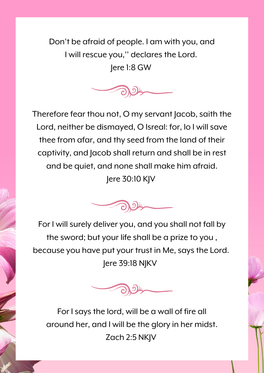Don't be afraid of people. I am with you, and I will rescue you, '' declaresthe Lord.

Jere 1:8 GW



Therefore fear thou not, O my servant Jacob, saith the Lord, neither be dismayed, O Isreal: for, lo I will save thee from afar, and thy seed from the land of their captivity, and Jacob shall return and shall be in rest and be quiet, and none shall make him afraid. Jere 30:10 KJV



For I will surely deliver you, and you shall not fall by the sword; but your life shall be a prize to you , because you have put your trust in Me, says the Lord. Jere 39:18 NJKV



For Isaysthe lord, will be a wall of fire all around her, and I will be the glory in her midst. Zach 2:5 NKJV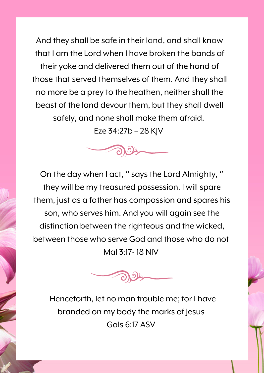And they shall be safe in their land, and shall know that I am the Lord when I have broken the bands of their yoke and delivered them out of the hand of those that served themselves of them. And they shall no more be a prey to the heathen, neither shall the beast of the land devour them, but they shall dwell safely, and none shall make them afraid.

Eze 34:27b – 28 KJV





Henceforth, let no man trouble me; for I have branded on my body the marks of Jesus Gals 6:17 ASV